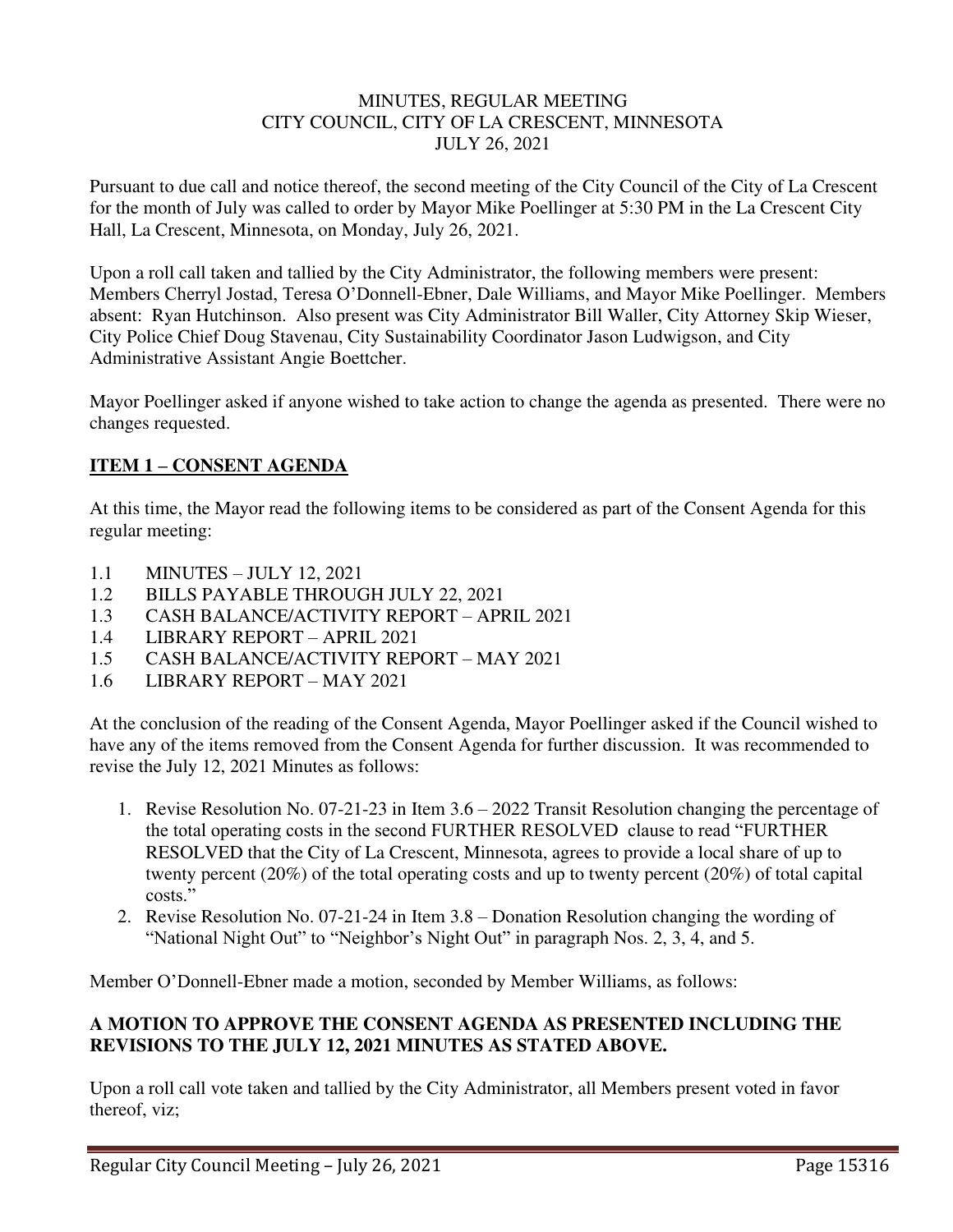### MINUTES, REGULAR MEETING CITY COUNCIL, CITY OF LA CRESCENT, MINNESOTA JULY 26, 2021

Pursuant to due call and notice thereof, the second meeting of the City Council of the City of La Crescent for the month of July was called to order by Mayor Mike Poellinger at 5:30 PM in the La Crescent City Hall, La Crescent, Minnesota, on Monday, July 26, 2021.

Upon a roll call taken and tallied by the City Administrator, the following members were present: Members Cherryl Jostad, Teresa O'Donnell-Ebner, Dale Williams, and Mayor Mike Poellinger. Members absent: Ryan Hutchinson. Also present was City Administrator Bill Waller, City Attorney Skip Wieser, City Police Chief Doug Stavenau, City Sustainability Coordinator Jason Ludwigson, and City Administrative Assistant Angie Boettcher.

Mayor Poellinger asked if anyone wished to take action to change the agenda as presented. There were no changes requested.

# **ITEM 1 – CONSENT AGENDA**

At this time, the Mayor read the following items to be considered as part of the Consent Agenda for this regular meeting:

- 1.1 MINUTES JULY 12, 2021
- 1.2 BILLS PAYABLE THROUGH JULY 22, 2021
- 1.3 CASH BALANCE/ACTIVITY REPORT APRIL 2021
- 1.4 LIBRARY REPORT APRIL 2021
- 1.5 CASH BALANCE/ACTIVITY REPORT MAY 2021
- 1.6 LIBRARY REPORT MAY 2021

At the conclusion of the reading of the Consent Agenda, Mayor Poellinger asked if the Council wished to have any of the items removed from the Consent Agenda for further discussion. It was recommended to revise the July 12, 2021 Minutes as follows:

- 1. Revise Resolution No. 07-21-23 in Item 3.6 2022 Transit Resolution changing the percentage of the total operating costs in the second FURTHER RESOLVED clause to read "FURTHER RESOLVED that the City of La Crescent, Minnesota, agrees to provide a local share of up to twenty percent (20%) of the total operating costs and up to twenty percent (20%) of total capital costs."
- 2. Revise Resolution No. 07-21-24 in Item 3.8 Donation Resolution changing the wording of "National Night Out" to "Neighbor's Night Out" in paragraph Nos. 2, 3, 4, and 5.

Member O'Donnell-Ebner made a motion, seconded by Member Williams, as follows:

### **A MOTION TO APPROVE THE CONSENT AGENDA AS PRESENTED INCLUDING THE REVISIONS TO THE JULY 12, 2021 MINUTES AS STATED ABOVE.**

Upon a roll call vote taken and tallied by the City Administrator, all Members present voted in favor thereof, viz;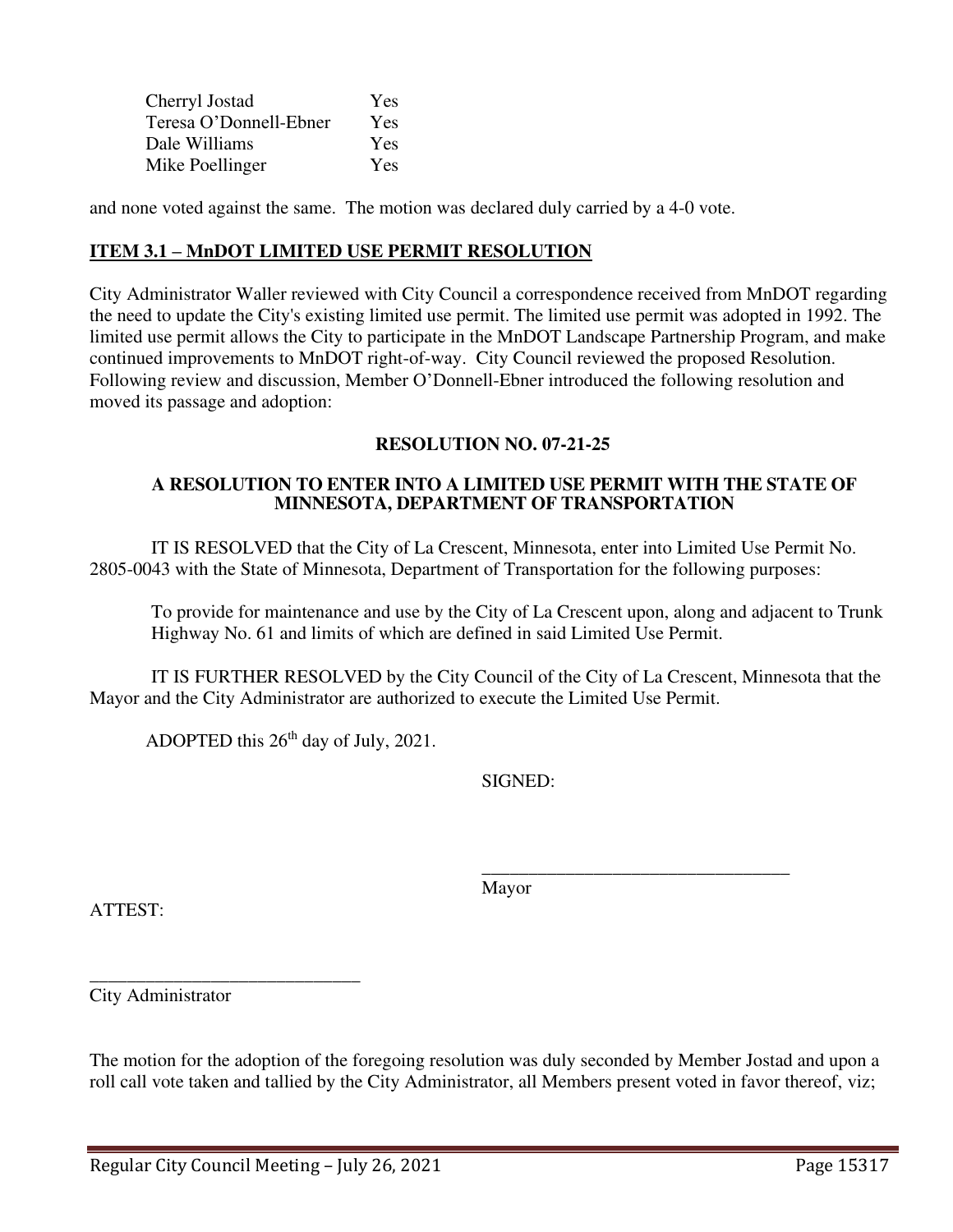| Cherryl Jostad         | Yes |
|------------------------|-----|
| Teresa O'Donnell-Ebner | Yes |
| Dale Williams          | Yes |
| Mike Poellinger        | Yes |

and none voted against the same. The motion was declared duly carried by a 4-0 vote.

### **ITEM 3.1 – MnDOT LIMITED USE PERMIT RESOLUTION**

City Administrator Waller reviewed with City Council a correspondence received from MnDOT regarding the need to update the City's existing limited use permit. The limited use permit was adopted in 1992. The limited use permit allows the City to participate in the MnDOT Landscape Partnership Program, and make continued improvements to MnDOT right-of-way. City Council reviewed the proposed Resolution. Following review and discussion, Member O'Donnell-Ebner introduced the following resolution and moved its passage and adoption:

### **RESOLUTION NO. 07-21-25**

#### **A RESOLUTION TO ENTER INTO A LIMITED USE PERMIT WITH THE STATE OF MINNESOTA, DEPARTMENT OF TRANSPORTATION**

IT IS RESOLVED that the City of La Crescent, Minnesota, enter into Limited Use Permit No. 2805-0043 with the State of Minnesota, Department of Transportation for the following purposes:

To provide for maintenance and use by the City of La Crescent upon, along and adjacent to Trunk Highway No. 61 and limits of which are defined in said Limited Use Permit.

IT IS FURTHER RESOLVED by the City Council of the City of La Crescent, Minnesota that the Mayor and the City Administrator are authorized to execute the Limited Use Permit.

ADOPTED this  $26<sup>th</sup>$  day of July, 2021.

SIGNED:

ATTEST:

Mayor

 $\frac{1}{\sqrt{2\pi}}$  , which is a set of the set of the set of the set of the set of the set of the set of the set of the set of the set of the set of the set of the set of the set of the set of the set of the set of the set of

City Administrator

\_\_\_\_\_\_\_\_\_\_\_\_\_\_\_\_\_\_\_\_\_\_\_\_\_\_\_\_\_

The motion for the adoption of the foregoing resolution was duly seconded by Member Jostad and upon a roll call vote taken and tallied by the City Administrator, all Members present voted in favor thereof, viz;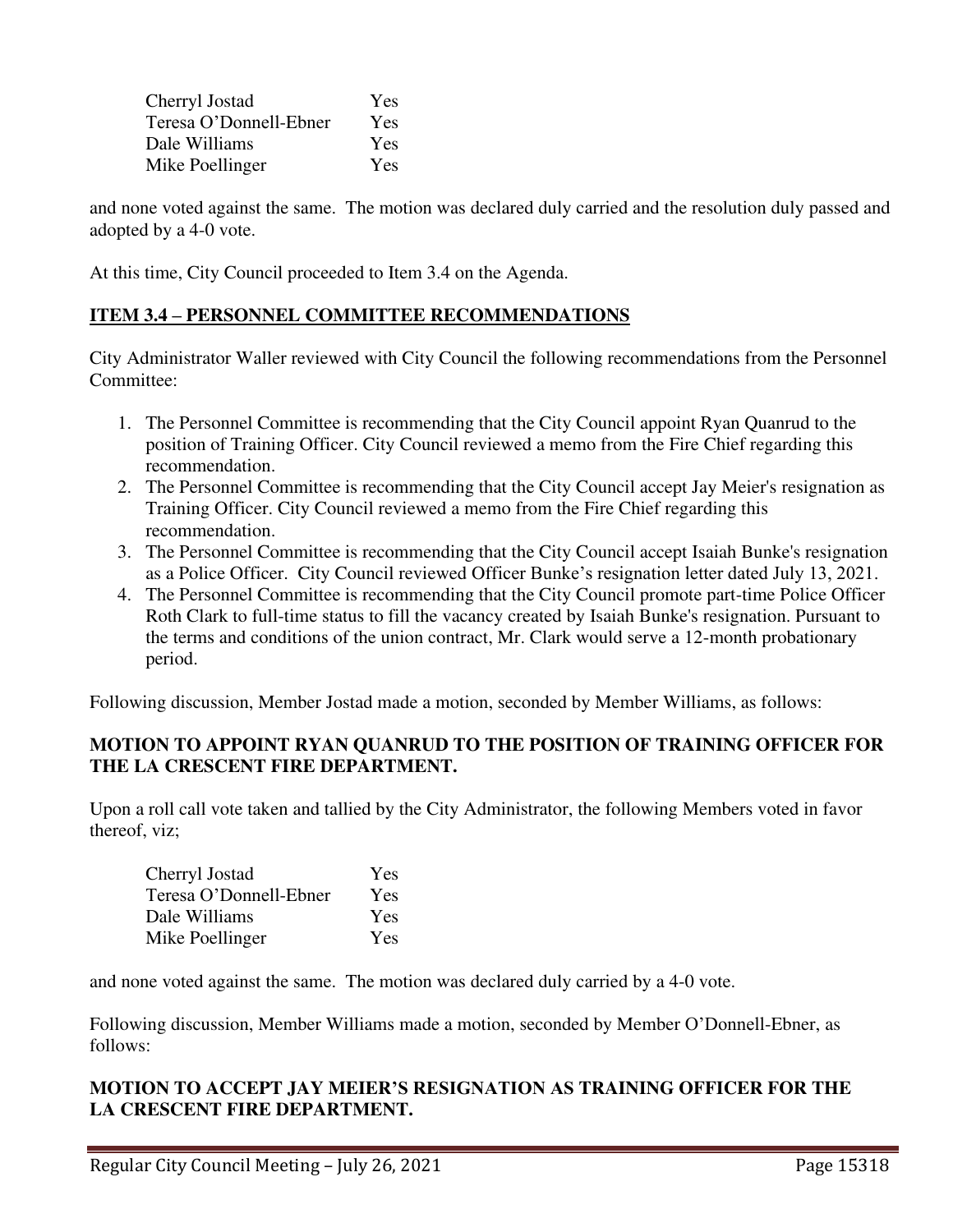| Cherryl Jostad         | Yes        |
|------------------------|------------|
| Teresa O'Donnell-Ebner | Yes        |
| Dale Williams          | <b>Yes</b> |
| Mike Poellinger        | Yes        |

and none voted against the same. The motion was declared duly carried and the resolution duly passed and adopted by a 4-0 vote.

At this time, City Council proceeded to Item 3.4 on the Agenda.

## **ITEM 3.4 – PERSONNEL COMMITTEE RECOMMENDATIONS**

City Administrator Waller reviewed with City Council the following recommendations from the Personnel Committee:

- 1. The Personnel Committee is recommending that the City Council appoint Ryan Quanrud to the position of Training Officer. City Council reviewed a memo from the Fire Chief regarding this recommendation.
- 2. The Personnel Committee is recommending that the City Council accept Jay Meier's resignation as Training Officer. City Council reviewed a memo from the Fire Chief regarding this recommendation.
- 3. The Personnel Committee is recommending that the City Council accept Isaiah Bunke's resignation as a Police Officer. City Council reviewed Officer Bunke's resignation letter dated July 13, 2021.
- 4. The Personnel Committee is recommending that the City Council promote part-time Police Officer Roth Clark to full-time status to fill the vacancy created by Isaiah Bunke's resignation. Pursuant to the terms and conditions of the union contract, Mr. Clark would serve a 12-month probationary period.

Following discussion, Member Jostad made a motion, seconded by Member Williams, as follows:

## **MOTION TO APPOINT RYAN QUANRUD TO THE POSITION OF TRAINING OFFICER FOR THE LA CRESCENT FIRE DEPARTMENT.**

Upon a roll call vote taken and tallied by the City Administrator, the following Members voted in favor thereof, viz;

| Cherryl Jostad         | Yes        |
|------------------------|------------|
| Teresa O'Donnell-Ebner | Yes        |
| Dale Williams          | Yes        |
| Mike Poellinger        | <b>Yes</b> |

and none voted against the same. The motion was declared duly carried by a 4-0 vote.

Following discussion, Member Williams made a motion, seconded by Member O'Donnell-Ebner, as follows:

## **MOTION TO ACCEPT JAY MEIER'S RESIGNATION AS TRAINING OFFICER FOR THE LA CRESCENT FIRE DEPARTMENT.**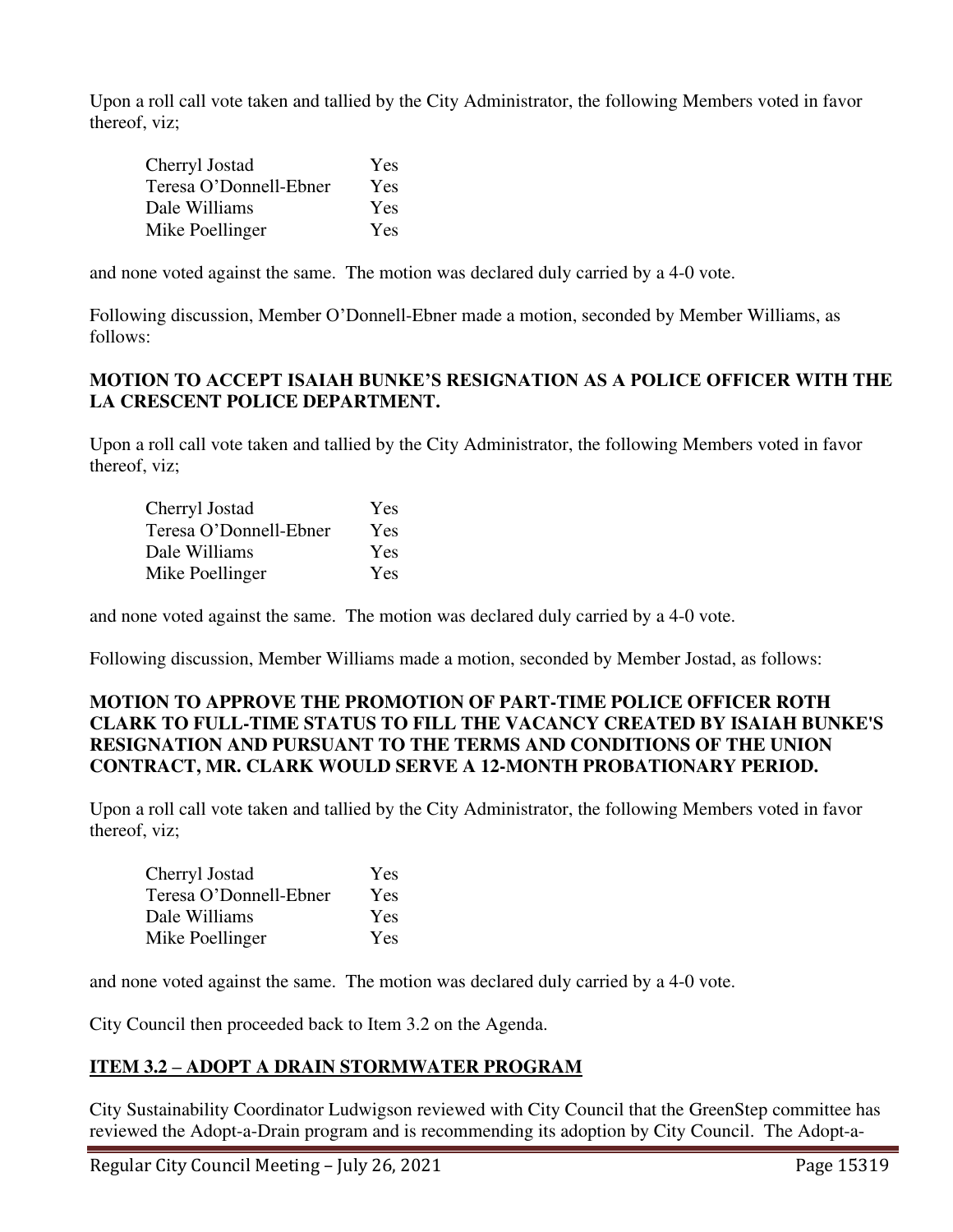Upon a roll call vote taken and tallied by the City Administrator, the following Members voted in favor thereof, viz;

| Cherryl Jostad         | Yes        |
|------------------------|------------|
| Teresa O'Donnell-Ebner | Yes        |
| Dale Williams          | Yes        |
| Mike Poellinger        | <b>Yes</b> |

and none voted against the same. The motion was declared duly carried by a 4-0 vote.

Following discussion, Member O'Donnell-Ebner made a motion, seconded by Member Williams, as follows:

## **MOTION TO ACCEPT ISAIAH BUNKE'S RESIGNATION AS A POLICE OFFICER WITH THE LA CRESCENT POLICE DEPARTMENT.**

Upon a roll call vote taken and tallied by the City Administrator, the following Members voted in favor thereof, viz;

| Cherryl Jostad         | Yes |
|------------------------|-----|
| Teresa O'Donnell-Ebner | Yes |
| Dale Williams          | Yes |
| Mike Poellinger        | Yes |

and none voted against the same. The motion was declared duly carried by a 4-0 vote.

Following discussion, Member Williams made a motion, seconded by Member Jostad, as follows:

## **MOTION TO APPROVE THE PROMOTION OF PART-TIME POLICE OFFICER ROTH CLARK TO FULL-TIME STATUS TO FILL THE VACANCY CREATED BY ISAIAH BUNKE'S RESIGNATION AND PURSUANT TO THE TERMS AND CONDITIONS OF THE UNION CONTRACT, MR. CLARK WOULD SERVE A 12-MONTH PROBATIONARY PERIOD.**

Upon a roll call vote taken and tallied by the City Administrator, the following Members voted in favor thereof, viz;

| Cherryl Jostad         | Yes        |
|------------------------|------------|
| Teresa O'Donnell-Ebner | Yes        |
| Dale Williams          | Yes        |
| Mike Poellinger        | <b>Yes</b> |

and none voted against the same. The motion was declared duly carried by a 4-0 vote.

City Council then proceeded back to Item 3.2 on the Agenda.

## **ITEM 3.2 – ADOPT A DRAIN STORMWATER PROGRAM**

City Sustainability Coordinator Ludwigson reviewed with City Council that the GreenStep committee has reviewed the Adopt-a-Drain program and is recommending its adoption by City Council. The Adopt-a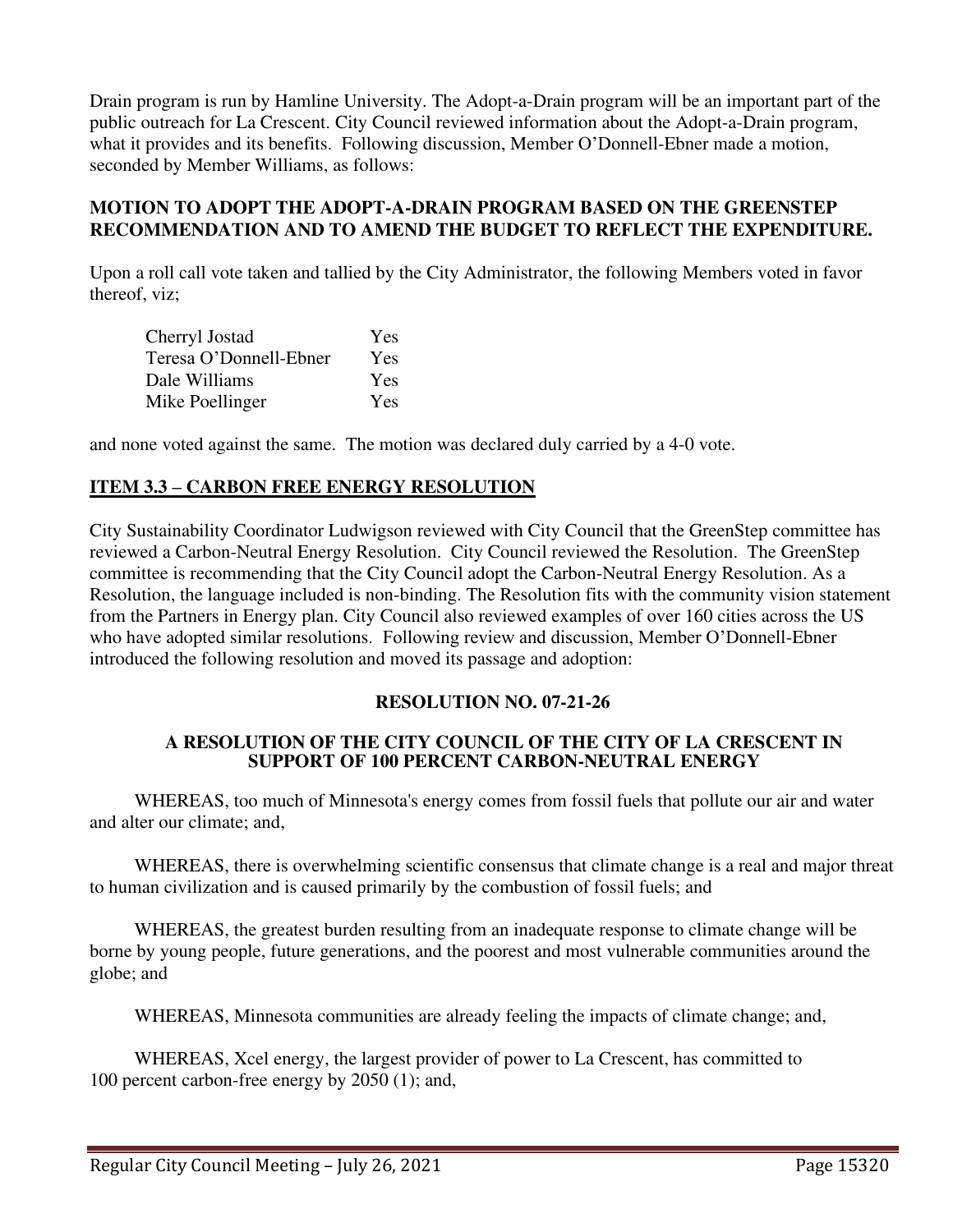Drain program is run by Hamline University. The Adopt-a-Drain program will be an important part of the public outreach for La Crescent. City Council reviewed information about the Adopt-a-Drain program, what it provides and its benefits. Following discussion, Member O'Donnell-Ebner made a motion, seconded by Member Williams, as follows:

#### **MOTION TO ADOPT THE ADOPT-A-DRAIN PROGRAM BASED ON THE GREENSTEP RECOMMENDATION AND TO AMEND THE BUDGET TO REFLECT THE EXPENDITURE.**

Upon a roll call vote taken and tallied by the City Administrator, the following Members voted in favor thereof, viz;

| Cherryl Jostad         | Yes |
|------------------------|-----|
| Teresa O'Donnell-Ebner | Yes |
| Dale Williams          | Yes |
| Mike Poellinger        | Yes |

and none voted against the same. The motion was declared duly carried by a 4-0 vote.

### **ITEM 3.3 – CARBON FREE ENERGY RESOLUTION**

City Sustainability Coordinator Ludwigson reviewed with City Council that the GreenStep committee has reviewed a Carbon-Neutral Energy Resolution. City Council reviewed the Resolution. The GreenStep committee is recommending that the City Council adopt the Carbon-Neutral Energy Resolution. As a Resolution, the language included is non-binding. The Resolution fits with the community vision statement from the Partners in Energy plan. City Council also reviewed examples of over 160 cities across the US who have adopted similar resolutions. Following review and discussion, Member O'Donnell-Ebner introduced the following resolution and moved its passage and adoption:

#### **RESOLUTION NO. 07-21-26**

#### **A RESOLUTION OF THE CITY COUNCIL OF THE CITY OF LA CRESCENT IN SUPPORT OF 100 PERCENT CARBON-NEUTRAL ENERGY**

WHEREAS, too much of Minnesota's energy comes from fossil fuels that pollute our air and water and alter our climate; and,

WHEREAS, there is overwhelming scientific consensus that climate change is a real and major threat to human civilization and is caused primarily by the combustion of fossil fuels; and

WHEREAS, the greatest burden resulting from an inadequate response to climate change will be borne by young people, future generations, and the poorest and most vulnerable communities around the globe; and

WHEREAS, Minnesota communities are already feeling the impacts of climate change; and,

WHEREAS, Xcel energy, the largest provider of power to La Crescent, has committed to 100 percent carbon-free energy by 2050 (1); and,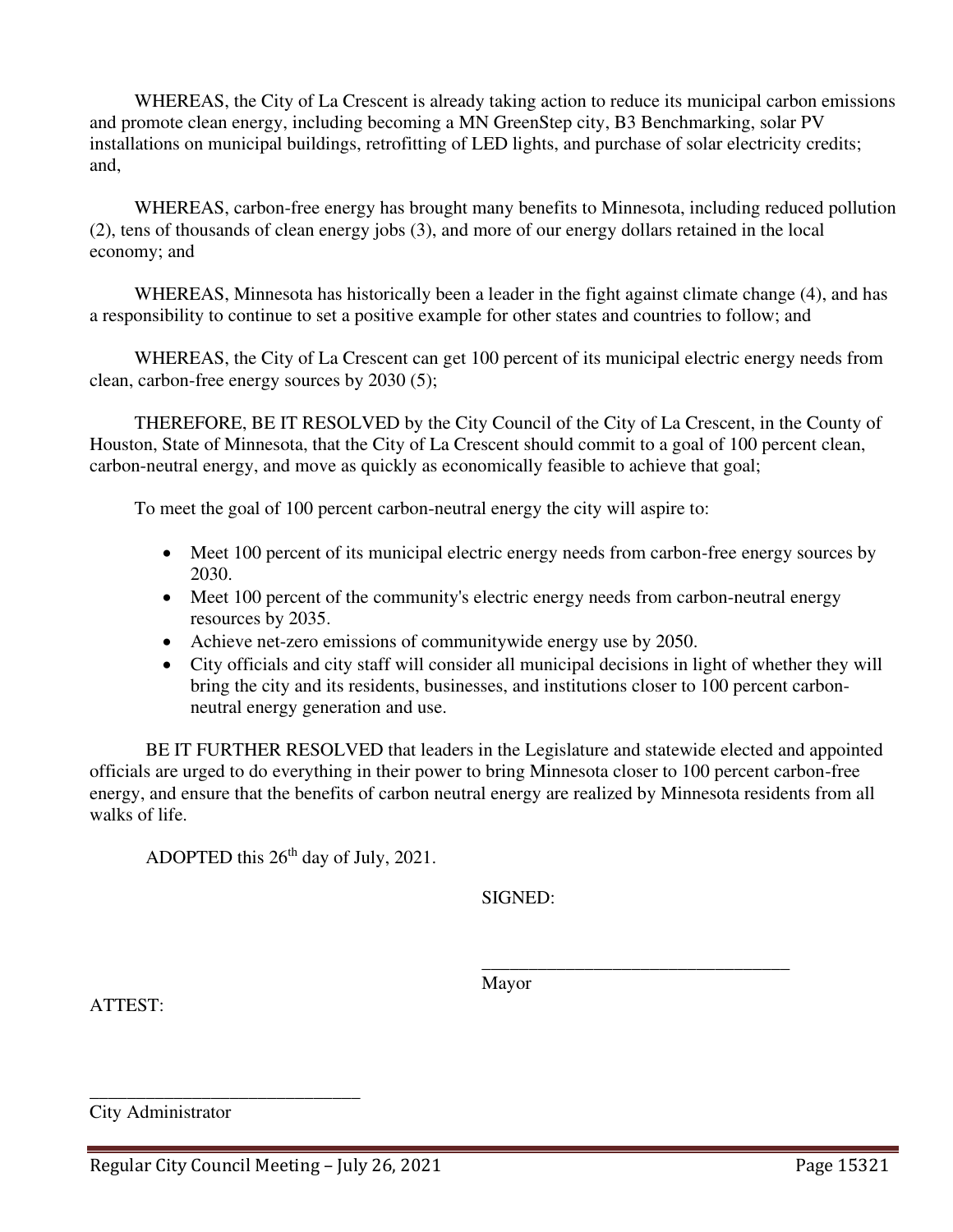WHEREAS, the City of La Crescent is already taking action to reduce its municipal carbon emissions and promote clean energy, including becoming a MN GreenStep city, B3 Benchmarking, solar PV installations on municipal buildings, retrofitting of LED lights, and purchase of solar electricity credits; and,

WHEREAS, carbon-free energy has brought many benefits to Minnesota, including reduced pollution (2), tens of thousands of clean energy jobs (3), and more of our energy dollars retained in the local economy; and

WHEREAS, Minnesota has historically been a leader in the fight against climate change (4), and has a responsibility to continue to set a positive example for other states and countries to follow; and

WHEREAS, the City of La Crescent can get 100 percent of its municipal electric energy needs from clean, carbon-free energy sources by 2030 (5);

THEREFORE, BE IT RESOLVED by the City Council of the City of La Crescent, in the County of Houston, State of Minnesota, that the City of La Crescent should commit to a goal of 100 percent clean, carbon-neutral energy, and move as quickly as economically feasible to achieve that goal;

To meet the goal of 100 percent carbon-neutral energy the city will aspire to:

- Meet 100 percent of its municipal electric energy needs from carbon-free energy sources by 2030.
- Meet 100 percent of the community's electric energy needs from carbon-neutral energy resources by 2035.
- Achieve net-zero emissions of communitywide energy use by 2050.
- City officials and city staff will consider all municipal decisions in light of whether they will bring the city and its residents, businesses, and institutions closer to 100 percent carbonneutral energy generation and use.

BE IT FURTHER RESOLVED that leaders in the Legislature and statewide elected and appointed officials are urged to do everything in their power to bring Minnesota closer to 100 percent carbon-free energy, and ensure that the benefits of carbon neutral energy are realized by Minnesota residents from all walks of life.

ADOPTED this  $26<sup>th</sup>$  day of July, 2021.

SIGNED:

ATTEST:

Mayor

 $\overline{\phantom{a}}$  , and the contract of the contract of the contract of the contract of the contract of the contract of the contract of the contract of the contract of the contract of the contract of the contract of the contrac

City Administrator

\_\_\_\_\_\_\_\_\_\_\_\_\_\_\_\_\_\_\_\_\_\_\_\_\_\_\_\_\_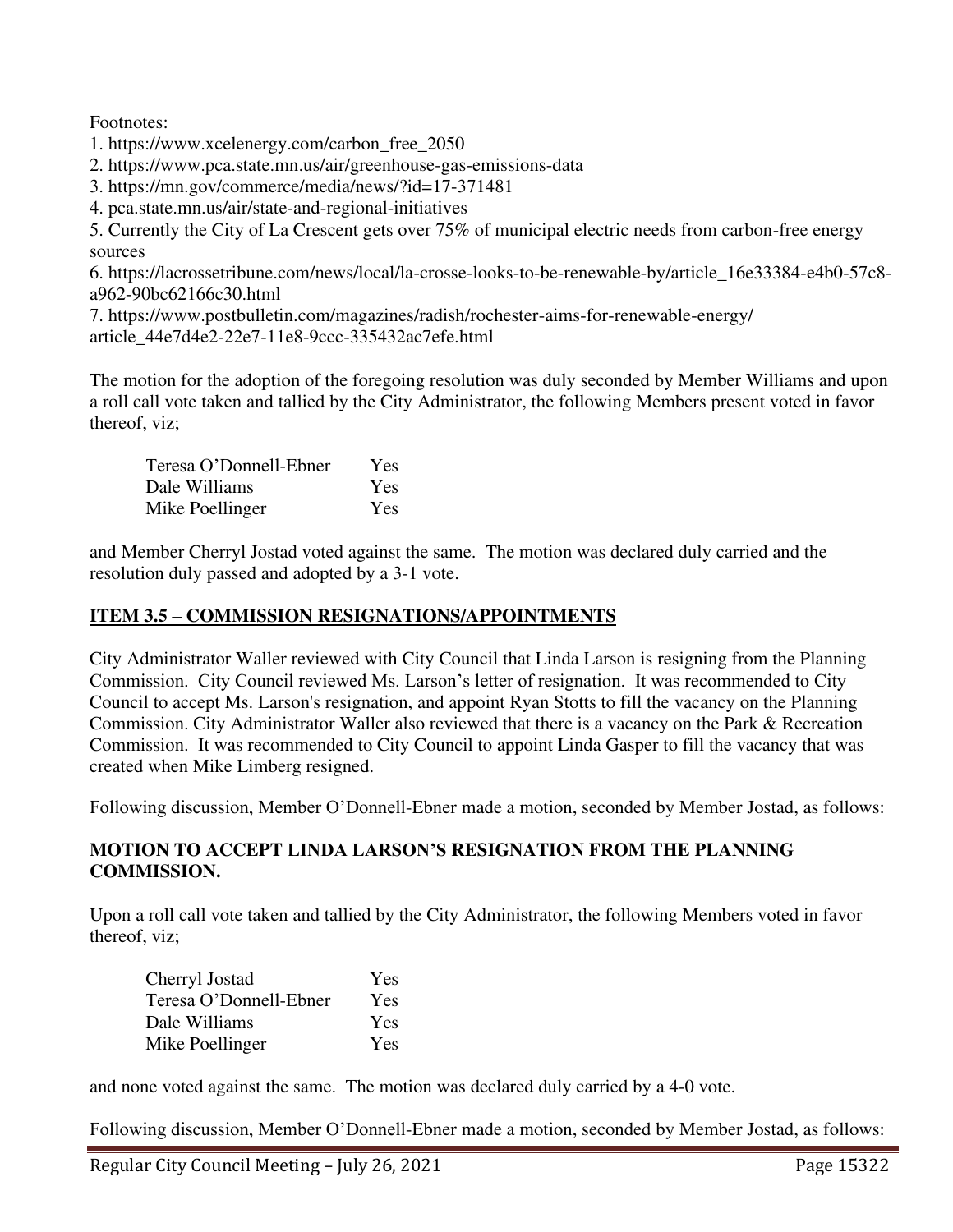Footnotes:

1. https://www.xcelenergy.com/carbon\_free\_2050

2. https://www.pca.state.mn.us/air/greenhouse-gas-emissions-data

3. https://mn.gov/commerce/media/news/?id=17-371481

4. pca.state.mn.us/air/state-and-regional-initiatives

5. Currently the City of La Crescent gets over 75% of municipal electric needs from carbon-free energy sources

6. https://lacrossetribune.com/news/local/la-crosse-looks-to-be-renewable-by/article\_16e33384-e4b0-57c8 a962-90bc62166c30.html

7.<https://www.postbulletin.com/magazines/radish/rochester-aims-for-renewable-energy/> article\_44e7d4e2-22e7-11e8-9ccc-335432ac7efe.html

The motion for the adoption of the foregoing resolution was duly seconded by Member Williams and upon a roll call vote taken and tallied by the City Administrator, the following Members present voted in favor thereof, viz;

| Teresa O'Donnell-Ebner | <b>Yes</b> |
|------------------------|------------|
| Dale Williams          | Yes        |
| Mike Poellinger        | Yes        |

and Member Cherryl Jostad voted against the same. The motion was declared duly carried and the resolution duly passed and adopted by a 3-1 vote.

## **ITEM 3.5 – COMMISSION RESIGNATIONS/APPOINTMENTS**

City Administrator Waller reviewed with City Council that Linda Larson is resigning from the Planning Commission. City Council reviewed Ms. Larson's letter of resignation. It was recommended to City Council to accept Ms. Larson's resignation, and appoint Ryan Stotts to fill the vacancy on the Planning Commission. City Administrator Waller also reviewed that there is a vacancy on the Park & Recreation Commission. It was recommended to City Council to appoint Linda Gasper to fill the vacancy that was created when Mike Limberg resigned.

Following discussion, Member O'Donnell-Ebner made a motion, seconded by Member Jostad, as follows:

## **MOTION TO ACCEPT LINDA LARSON'S RESIGNATION FROM THE PLANNING COMMISSION.**

Upon a roll call vote taken and tallied by the City Administrator, the following Members voted in favor thereof, viz;

| Cherryl Jostad         | Yes        |
|------------------------|------------|
| Teresa O'Donnell-Ebner | Yes        |
| Dale Williams          | Yes        |
| Mike Poellinger        | <b>Yes</b> |

and none voted against the same. The motion was declared duly carried by a 4-0 vote.

Following discussion, Member O'Donnell-Ebner made a motion, seconded by Member Jostad, as follows: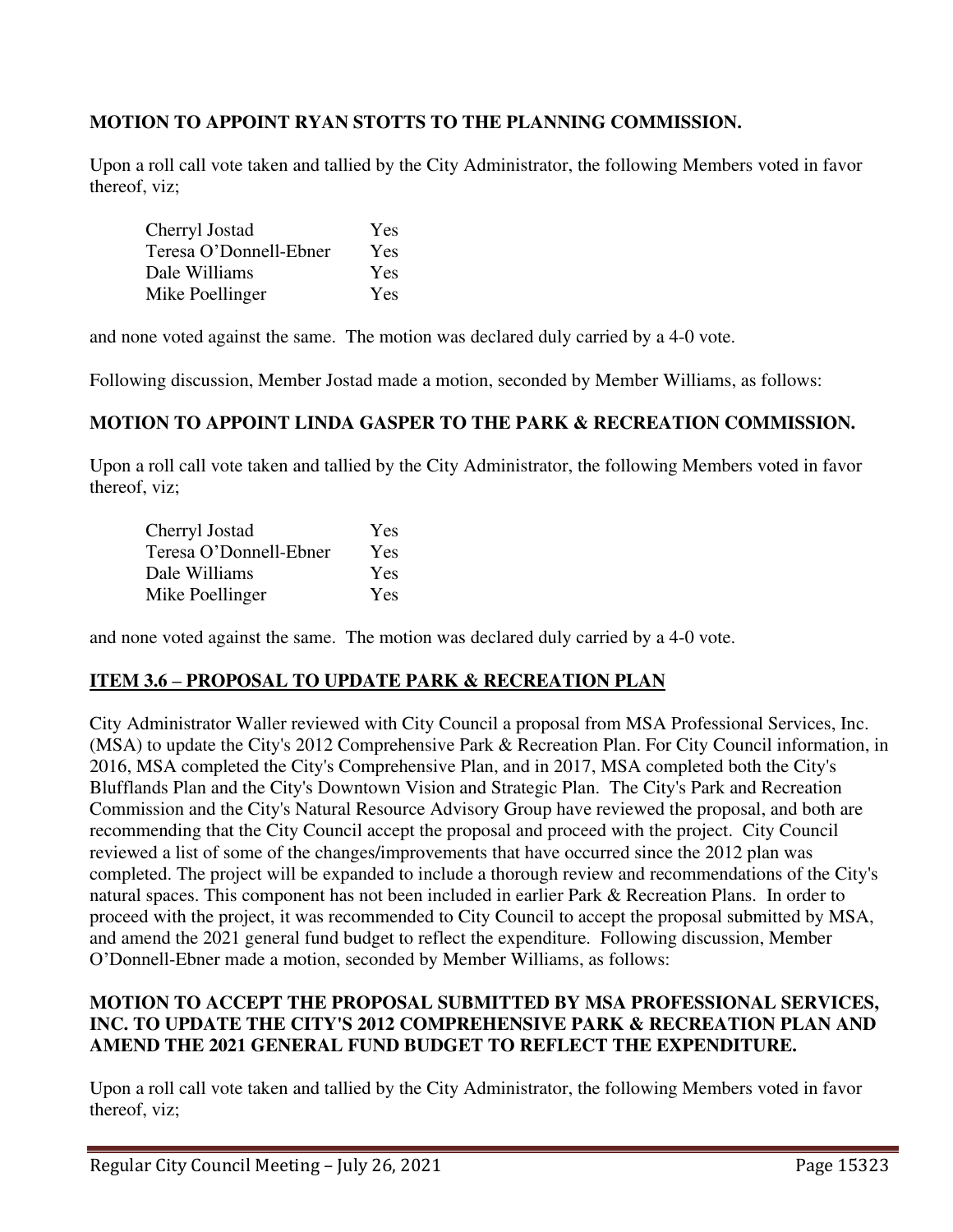## **MOTION TO APPOINT RYAN STOTTS TO THE PLANNING COMMISSION.**

Upon a roll call vote taken and tallied by the City Administrator, the following Members voted in favor thereof, viz;

| Cherryl Jostad         | Yes        |
|------------------------|------------|
| Teresa O'Donnell-Ebner | Yes        |
| Dale Williams          | Yes        |
| Mike Poellinger        | <b>Yes</b> |

and none voted against the same. The motion was declared duly carried by a 4-0 vote.

Following discussion, Member Jostad made a motion, seconded by Member Williams, as follows:

## **MOTION TO APPOINT LINDA GASPER TO THE PARK & RECREATION COMMISSION.**

Upon a roll call vote taken and tallied by the City Administrator, the following Members voted in favor thereof, viz;

| Cherryl Jostad         | Yes |
|------------------------|-----|
| Teresa O'Donnell-Ebner | Yes |
| Dale Williams          | Yes |
| Mike Poellinger        | Yes |

and none voted against the same. The motion was declared duly carried by a 4-0 vote.

## **ITEM 3.6 – PROPOSAL TO UPDATE PARK & RECREATION PLAN**

City Administrator Waller reviewed with City Council a proposal from MSA Professional Services, Inc. (MSA) to update the City's 2012 Comprehensive Park & Recreation Plan. For City Council information, in 2016, MSA completed the City's Comprehensive Plan, and in 2017, MSA completed both the City's Blufflands Plan and the City's Downtown Vision and Strategic Plan. The City's Park and Recreation Commission and the City's Natural Resource Advisory Group have reviewed the proposal, and both are recommending that the City Council accept the proposal and proceed with the project. City Council reviewed a list of some of the changes/improvements that have occurred since the 2012 plan was completed. The project will be expanded to include a thorough review and recommendations of the City's natural spaces. This component has not been included in earlier Park & Recreation Plans. In order to proceed with the project, it was recommended to City Council to accept the proposal submitted by MSA, and amend the 2021 general fund budget to reflect the expenditure. Following discussion, Member O'Donnell-Ebner made a motion, seconded by Member Williams, as follows:

### **MOTION TO ACCEPT THE PROPOSAL SUBMITTED BY MSA PROFESSIONAL SERVICES, INC. TO UPDATE THE CITY'S 2012 COMPREHENSIVE PARK & RECREATION PLAN AND AMEND THE 2021 GENERAL FUND BUDGET TO REFLECT THE EXPENDITURE.**

Upon a roll call vote taken and tallied by the City Administrator, the following Members voted in favor thereof, viz;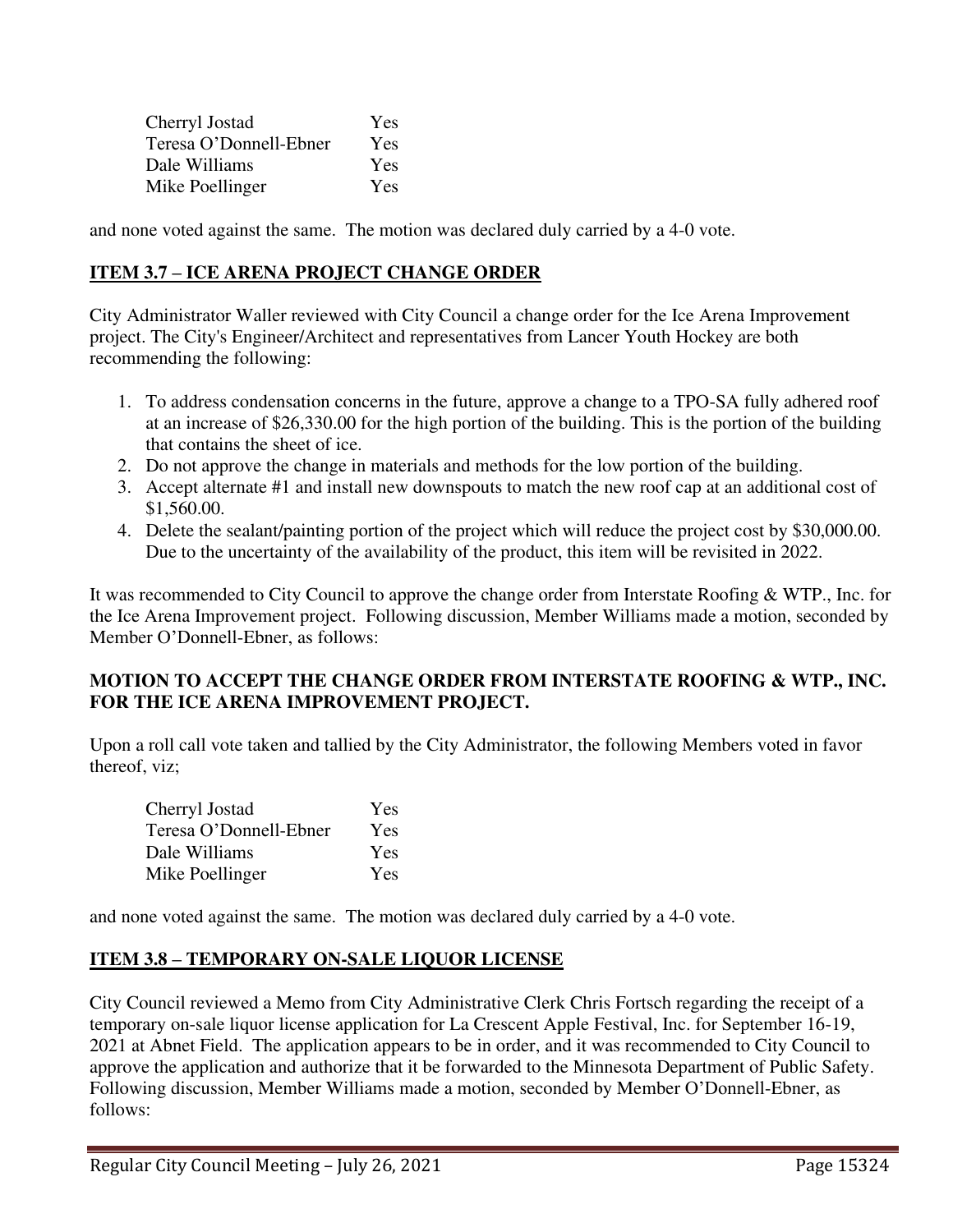| Cherryl Jostad         | <b>Yes</b> |
|------------------------|------------|
| Teresa O'Donnell-Ebner | <b>Yes</b> |
| Dale Williams          | Yes        |
| Mike Poellinger        | Yes        |

and none voted against the same. The motion was declared duly carried by a 4-0 vote.

## **ITEM 3.7 – ICE ARENA PROJECT CHANGE ORDER**

City Administrator Waller reviewed with City Council a change order for the Ice Arena Improvement project. The City's Engineer/Architect and representatives from Lancer Youth Hockey are both recommending the following:

- 1. To address condensation concerns in the future, approve a change to a TPO-SA fully adhered roof at an increase of \$26,330.00 for the high portion of the building. This is the portion of the building that contains the sheet of ice.
- 2. Do not approve the change in materials and methods for the low portion of the building.
- 3. Accept alternate #1 and install new downspouts to match the new roof cap at an additional cost of \$1,560.00.
- 4. Delete the sealant/painting portion of the project which will reduce the project cost by \$30,000.00. Due to the uncertainty of the availability of the product, this item will be revisited in 2022.

It was recommended to City Council to approve the change order from Interstate Roofing & WTP., Inc. for the Ice Arena Improvement project. Following discussion, Member Williams made a motion, seconded by Member O'Donnell-Ebner, as follows:

## **MOTION TO ACCEPT THE CHANGE ORDER FROM INTERSTATE ROOFING & WTP., INC. FOR THE ICE ARENA IMPROVEMENT PROJECT.**

Upon a roll call vote taken and tallied by the City Administrator, the following Members voted in favor thereof, viz;

| Cherryl Jostad         | <b>Yes</b> |
|------------------------|------------|
| Teresa O'Donnell-Ebner | Yes        |
| Dale Williams          | Yes        |
| Mike Poellinger        | Yes        |

and none voted against the same. The motion was declared duly carried by a 4-0 vote.

# **ITEM 3.8 – TEMPORARY ON-SALE LIQUOR LICENSE**

City Council reviewed a Memo from City Administrative Clerk Chris Fortsch regarding the receipt of a temporary on-sale liquor license application for La Crescent Apple Festival, Inc. for September 16-19, 2021 at Abnet Field. The application appears to be in order, and it was recommended to City Council to approve the application and authorize that it be forwarded to the Minnesota Department of Public Safety. Following discussion, Member Williams made a motion, seconded by Member O'Donnell-Ebner, as follows: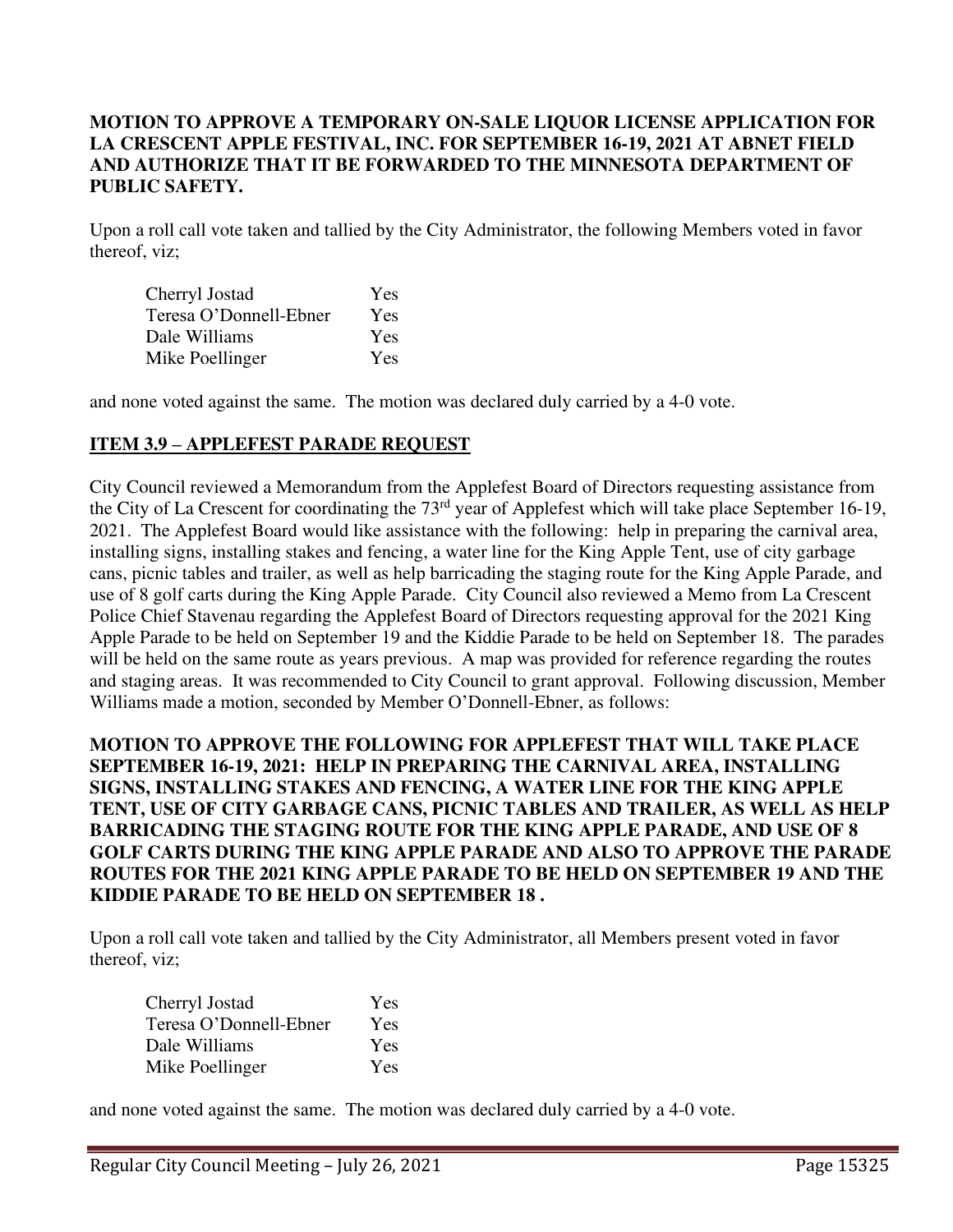## **MOTION TO APPROVE A TEMPORARY ON-SALE LIQUOR LICENSE APPLICATION FOR LA CRESCENT APPLE FESTIVAL, INC. FOR SEPTEMBER 16-19, 2021 AT ABNET FIELD AND AUTHORIZE THAT IT BE FORWARDED TO THE MINNESOTA DEPARTMENT OF PUBLIC SAFETY.**

Upon a roll call vote taken and tallied by the City Administrator, the following Members voted in favor thereof, viz;

| Cherryl Jostad         | Yes        |
|------------------------|------------|
| Teresa O'Donnell-Ebner | Yes        |
| Dale Williams          | <b>Yes</b> |
| Mike Poellinger        | Yes        |

and none voted against the same. The motion was declared duly carried by a 4-0 vote.

### **ITEM 3.9 – APPLEFEST PARADE REQUEST**

City Council reviewed a Memorandum from the Applefest Board of Directors requesting assistance from the City of La Crescent for coordinating the 73<sup>rd</sup> year of Applefest which will take place September 16-19, 2021. The Applefest Board would like assistance with the following: help in preparing the carnival area, installing signs, installing stakes and fencing, a water line for the King Apple Tent, use of city garbage cans, picnic tables and trailer, as well as help barricading the staging route for the King Apple Parade, and use of 8 golf carts during the King Apple Parade. City Council also reviewed a Memo from La Crescent Police Chief Stavenau regarding the Applefest Board of Directors requesting approval for the 2021 King Apple Parade to be held on September 19 and the Kiddie Parade to be held on September 18. The parades will be held on the same route as years previous. A map was provided for reference regarding the routes and staging areas. It was recommended to City Council to grant approval. Following discussion, Member Williams made a motion, seconded by Member O'Donnell-Ebner, as follows:

## **MOTION TO APPROVE THE FOLLOWING FOR APPLEFEST THAT WILL TAKE PLACE SEPTEMBER 16-19, 2021: HELP IN PREPARING THE CARNIVAL AREA, INSTALLING SIGNS, INSTALLING STAKES AND FENCING, A WATER LINE FOR THE KING APPLE TENT, USE OF CITY GARBAGE CANS, PICNIC TABLES AND TRAILER, AS WELL AS HELP BARRICADING THE STAGING ROUTE FOR THE KING APPLE PARADE, AND USE OF 8 GOLF CARTS DURING THE KING APPLE PARADE AND ALSO TO APPROVE THE PARADE ROUTES FOR THE 2021 KING APPLE PARADE TO BE HELD ON SEPTEMBER 19 AND THE KIDDIE PARADE TO BE HELD ON SEPTEMBER 18 .**

Upon a roll call vote taken and tallied by the City Administrator, all Members present voted in favor thereof, viz;

| Cherryl Jostad         | Yes        |
|------------------------|------------|
| Teresa O'Donnell-Ebner | <b>Yes</b> |
| Dale Williams          | Yes        |
| Mike Poellinger        | Yes        |

and none voted against the same. The motion was declared duly carried by a 4-0 vote.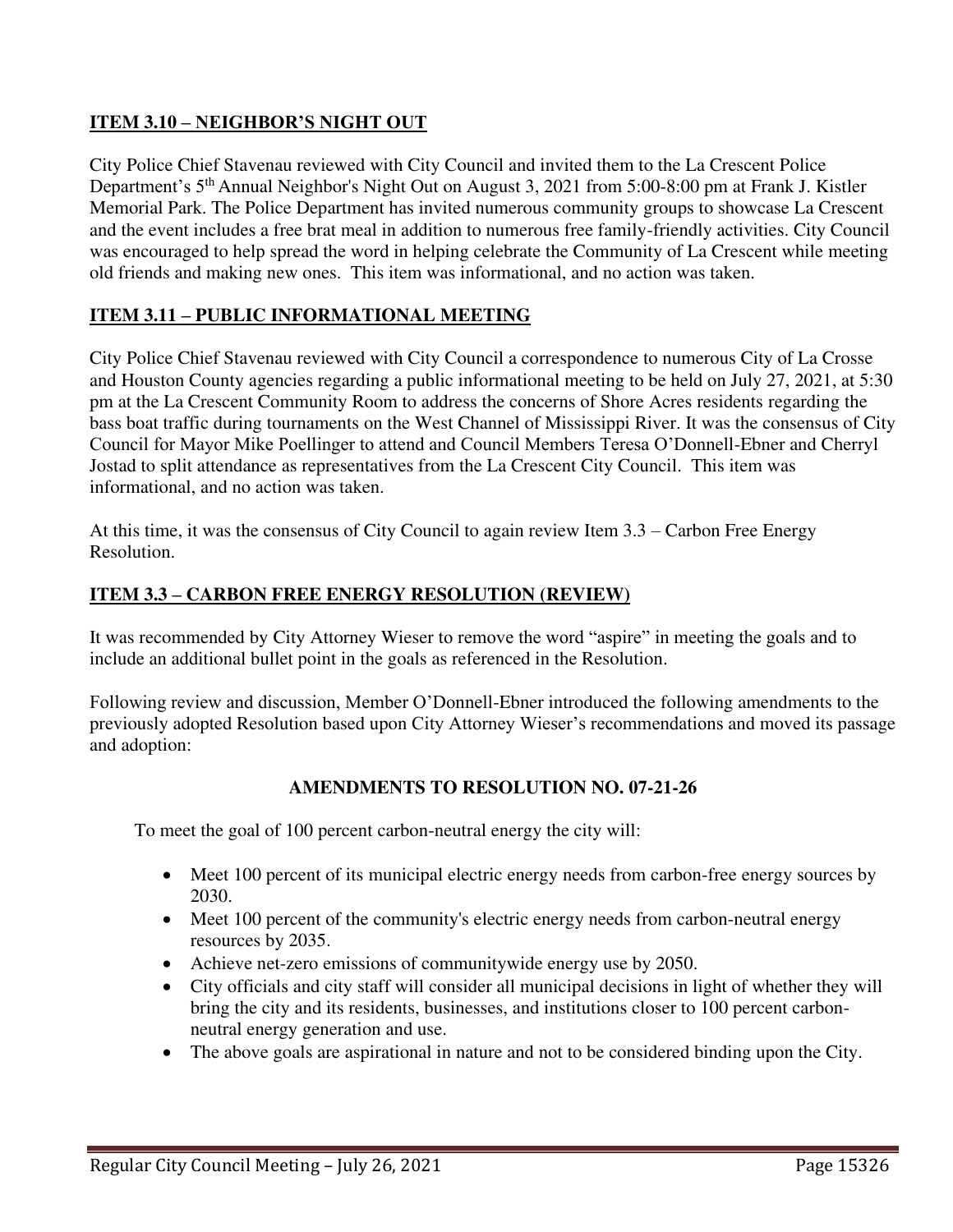# **ITEM 3.10 – NEIGHBOR'S NIGHT OUT**

City Police Chief Stavenau reviewed with City Council and invited them to the La Crescent Police Department's 5<sup>th</sup> Annual Neighbor's Night Out on August 3, 2021 from 5:00-8:00 pm at Frank J. Kistler Memorial Park. The Police Department has invited numerous community groups to showcase La Crescent and the event includes a free brat meal in addition to numerous free family-friendly activities. City Council was encouraged to help spread the word in helping celebrate the Community of La Crescent while meeting old friends and making new ones. This item was informational, and no action was taken.

# **ITEM 3.11 – PUBLIC INFORMATIONAL MEETING**

City Police Chief Stavenau reviewed with City Council a correspondence to numerous City of La Crosse and Houston County agencies regarding a public informational meeting to be held on July 27, 2021, at 5:30 pm at the La Crescent Community Room to address the concerns of Shore Acres residents regarding the bass boat traffic during tournaments on the West Channel of Mississippi River. It was the consensus of City Council for Mayor Mike Poellinger to attend and Council Members Teresa O'Donnell-Ebner and Cherryl Jostad to split attendance as representatives from the La Crescent City Council. This item was informational, and no action was taken.

At this time, it was the consensus of City Council to again review Item 3.3 – Carbon Free Energy Resolution.

# **ITEM 3.3 – CARBON FREE ENERGY RESOLUTION (REVIEW)**

It was recommended by City Attorney Wieser to remove the word "aspire" in meeting the goals and to include an additional bullet point in the goals as referenced in the Resolution.

Following review and discussion, Member O'Donnell-Ebner introduced the following amendments to the previously adopted Resolution based upon City Attorney Wieser's recommendations and moved its passage and adoption:

# **AMENDMENTS TO RESOLUTION NO. 07-21-26**

To meet the goal of 100 percent carbon-neutral energy the city will:

- Meet 100 percent of its municipal electric energy needs from carbon-free energy sources by 2030.
- Meet 100 percent of the community's electric energy needs from carbon-neutral energy resources by 2035.
- Achieve net-zero emissions of communitywide energy use by 2050.
- City officials and city staff will consider all municipal decisions in light of whether they will bring the city and its residents, businesses, and institutions closer to 100 percent carbonneutral energy generation and use.
- The above goals are aspirational in nature and not to be considered binding upon the City.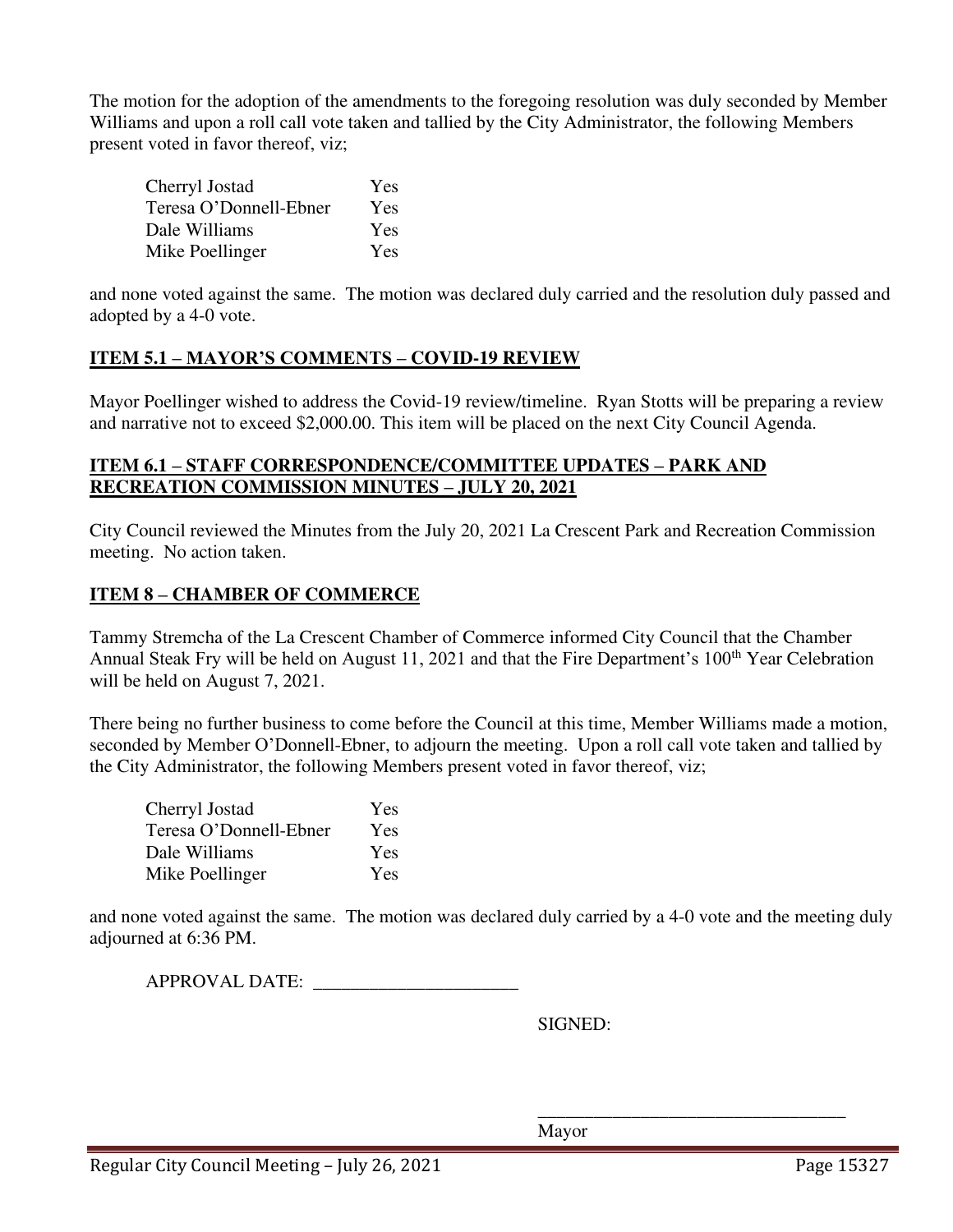The motion for the adoption of the amendments to the foregoing resolution was duly seconded by Member Williams and upon a roll call vote taken and tallied by the City Administrator, the following Members present voted in favor thereof, viz;

| Cherryl Jostad         | Yes |
|------------------------|-----|
| Teresa O'Donnell-Ebner | Yes |
| Dale Williams          | Yes |
| Mike Poellinger        | Yes |

and none voted against the same. The motion was declared duly carried and the resolution duly passed and adopted by a 4-0 vote.

# **ITEM 5.1 – MAYOR'S COMMENTS – COVID-19 REVIEW**

Mayor Poellinger wished to address the Covid-19 review/timeline. Ryan Stotts will be preparing a review and narrative not to exceed \$2,000.00. This item will be placed on the next City Council Agenda.

## **ITEM 6.1 – STAFF CORRESPONDENCE/COMMITTEE UPDATES – PARK AND RECREATION COMMISSION MINUTES – JULY 20, 2021**

City Council reviewed the Minutes from the July 20, 2021 La Crescent Park and Recreation Commission meeting. No action taken.

# **ITEM 8 – CHAMBER OF COMMERCE**

Tammy Stremcha of the La Crescent Chamber of Commerce informed City Council that the Chamber Annual Steak Fry will be held on August 11, 2021 and that the Fire Department's 100<sup>th</sup> Year Celebration will be held on August 7, 2021.

There being no further business to come before the Council at this time, Member Williams made a motion, seconded by Member O'Donnell-Ebner, to adjourn the meeting. Upon a roll call vote taken and tallied by the City Administrator, the following Members present voted in favor thereof, viz;

| Cherryl Jostad         | Yes |
|------------------------|-----|
| Teresa O'Donnell-Ebner | Yes |
| Dale Williams          | Yes |
| Mike Poellinger        | Yes |

and none voted against the same. The motion was declared duly carried by a 4-0 vote and the meeting duly adjourned at 6:36 PM.

 $\overline{\phantom{a}}$  , and the contract of the contract of the contract of the contract of the contract of the contract of the contract of the contract of the contract of the contract of the contract of the contract of the contrac

APPROVAL DATE:

SIGNED:

Mayor